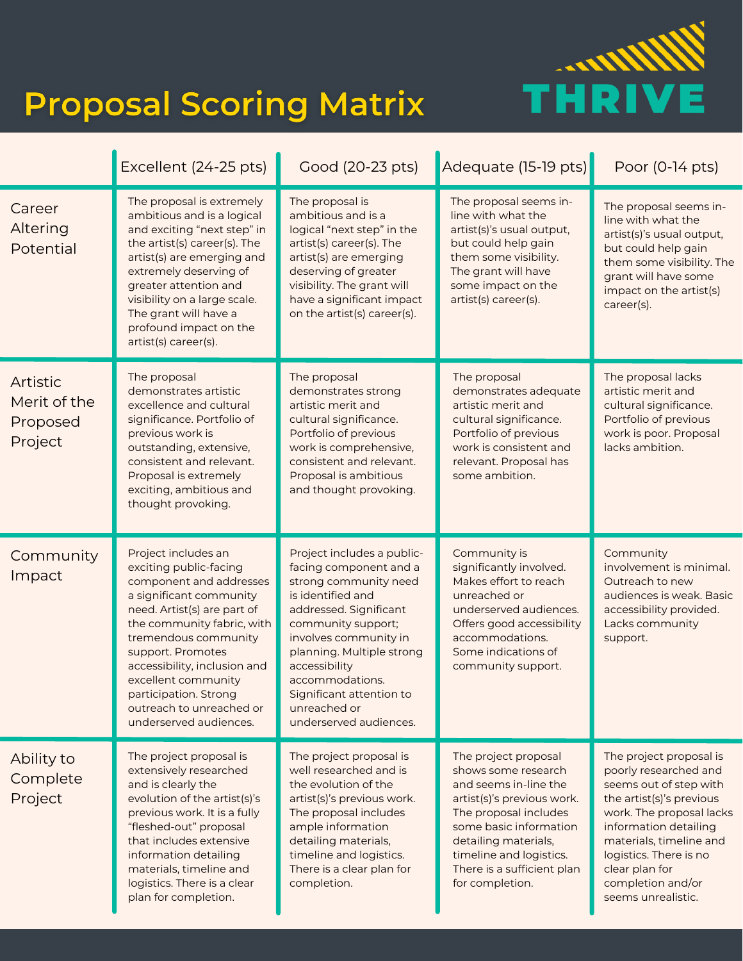

## **Proposal Scoring Matrix**

|                                                 | Excellent (24-25 pts)                                                                                                                                                                                                                                                                                                                               | Good (20-23 pts)                                                                                                                                                                                                                                                                                                   | Adequate (15-19 pts)                                                                                                                                                                                                                                      | Poor (0-14 pts)                                                                                                                                                                                                                                                               |
|-------------------------------------------------|-----------------------------------------------------------------------------------------------------------------------------------------------------------------------------------------------------------------------------------------------------------------------------------------------------------------------------------------------------|--------------------------------------------------------------------------------------------------------------------------------------------------------------------------------------------------------------------------------------------------------------------------------------------------------------------|-----------------------------------------------------------------------------------------------------------------------------------------------------------------------------------------------------------------------------------------------------------|-------------------------------------------------------------------------------------------------------------------------------------------------------------------------------------------------------------------------------------------------------------------------------|
| Career<br>Altering<br>Potential                 | The proposal is extremely<br>ambitious and is a logical<br>and exciting "next step" in<br>the artist(s) career(s). The<br>artist(s) are emerging and<br>extremely deserving of<br>greater attention and<br>visibility on a large scale.<br>The grant will have a<br>profound impact on the<br>artist(s) career(s).                                  | The proposal is<br>ambitious and is a<br>logical "next step" in the<br>artist(s) career(s). The<br>artist(s) are emerging<br>deserving of greater<br>visibility. The grant will<br>have a significant impact<br>on the artist(s) career(s).                                                                        | The proposal seems in-<br>line with what the<br>artist(s)'s usual output,<br>but could help gain<br>them some visibility.<br>The grant will have<br>some impact on the<br>artist(s) career(s).                                                            | The proposal seems in-<br>line with what the<br>artist(s)'s usual output,<br>but could help gain<br>them some visibility. The<br>grant will have some<br>impact on the artist(s)<br>career(s).                                                                                |
| Artistic<br>Merit of the<br>Proposed<br>Project | The proposal<br>demonstrates artistic<br>excellence and cultural<br>significance. Portfolio of<br>previous work is<br>outstanding, extensive,<br>consistent and relevant.<br>Proposal is extremely<br>exciting, ambitious and<br>thought provoking.                                                                                                 | The proposal<br>demonstrates strong<br>artistic merit and<br>cultural significance.<br>Portfolio of previous<br>work is comprehensive,<br>consistent and relevant.<br>Proposal is ambitious<br>and thought provoking.                                                                                              | The proposal<br>demonstrates adequate<br>artistic merit and<br>cultural significance.<br>Portfolio of previous<br>work is consistent and<br>relevant. Proposal has<br>some ambition.                                                                      | The proposal lacks<br>artistic merit and<br>cultural significance.<br>Portfolio of previous<br>work is poor. Proposal<br>lacks ambition.                                                                                                                                      |
| Community<br>Impact                             | Project includes an<br>exciting public-facing<br>component and addresses<br>a significant community<br>need. Artist(s) are part of<br>the community fabric, with<br>tremendous community<br>support. Promotes<br>accessibility, inclusion and<br>excellent community<br>participation. Strong<br>outreach to unreached or<br>underserved audiences. | Project includes a public-<br>facing component and a<br>strong community need<br>is identified and<br>addressed. Significant<br>community support;<br>involves community in<br>planning. Multiple strong<br>accessibility<br>accommodations.<br>Significant attention to<br>unreached or<br>underserved audiences. | Community is<br>significantly involved.<br>Makes effort to reach<br>unreached or<br>underserved audiences.<br>Offers good accessibility<br>accommodations.<br>Some indications of<br>community support.                                                   | Community<br>involvement is minimal.<br>Outreach to new<br>audiences is weak. Basic<br>accessibility provided.<br>Lacks community<br>support.                                                                                                                                 |
| Ability to<br>Complete<br>Project               | The project proposal is<br>extensively researched<br>and is clearly the<br>evolution of the artist(s)'s<br>previous work. It is a fully<br>"fleshed-out" proposal<br>that includes extensive<br>information detailing<br>materials, timeline and<br>logistics. There is a clear<br>plan for completion.                                             | The project proposal is<br>well researched and is<br>the evolution of the<br>artist(s)'s previous work.<br>The proposal includes<br>ample information<br>detailing materials,<br>timeline and logistics.<br>There is a clear plan for<br>completion.                                                               | The project proposal<br>shows some research<br>and seems in-line the<br>artist(s)'s previous work.<br>The proposal includes<br>some basic information<br>detailing materials,<br>timeline and logistics.<br>There is a sufficient plan<br>for completion. | The project proposal is<br>poorly researched and<br>seems out of step with<br>the artist(s)'s previous<br>work. The proposal lacks<br>information detailing<br>materials, timeline and<br>logistics. There is no<br>clear plan for<br>completion and/or<br>seems unrealistic. |